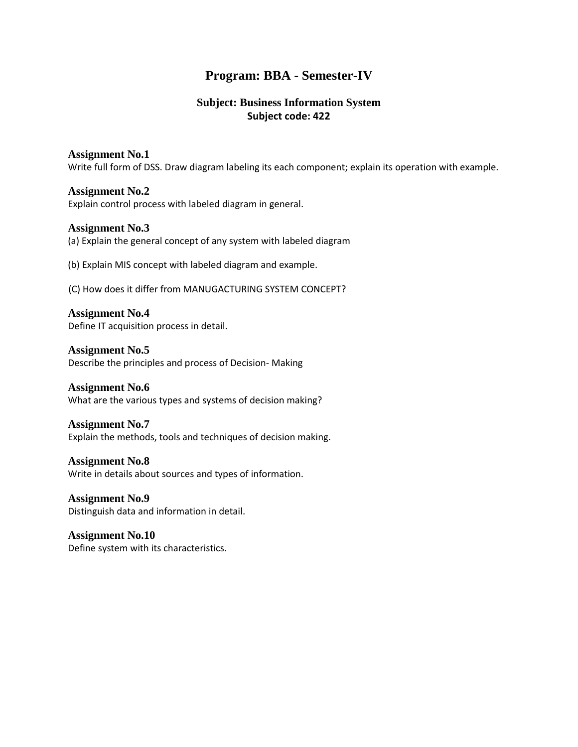## **Program: BBA - Semester-IV**

#### **Subject: Business Information System Subject code: 422**

#### **Assignment No.1**

Write full form of DSS. Draw diagram labeling its each component; explain its operation with example.

#### **Assignment No.2**

Explain control process with labeled diagram in general.

#### **Assignment No.3**

(a) Explain the general concept of any system with labeled diagram

(b) Explain MIS concept with labeled diagram and example.

(C) How does it differ from MANUGACTURING SYSTEM CONCEPT?

**Assignment No.4** Define IT acquisition process in detail.

**Assignment No.5** Describe the principles and process of Decision- Making

**Assignment No.6** What are the various types and systems of decision making?

**Assignment No.7** Explain the methods, tools and techniques of decision making.

**Assignment No.8** Write in details about sources and types of information.

**Assignment No.9** Distinguish data and information in detail.

**Assignment No.10** Define system with its characteristics.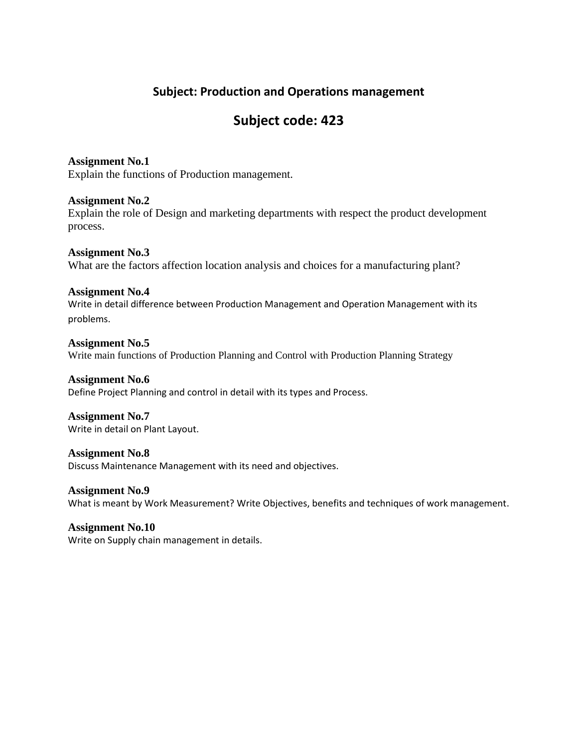## **Subject: Production and Operations management**

# **Subject code: 423**

**Assignment No.1** Explain the functions of Production management.

**Assignment No.2** Explain the role of Design and marketing departments with respect the product development process.

**Assignment No.3** What are the factors affection location analysis and choices for a manufacturing plant?

**Assignment No.4** Write in detail difference between Production Management and Operation Management with its problems.

**Assignment No.5** Write main functions of Production Planning and Control with Production Planning Strategy

**Assignment No.6** Define Project Planning and control in detail with its types and Process.

**Assignment No.7** Write in detail on Plant Layout.

**Assignment No.8** Discuss Maintenance Management with its need and objectives.

**Assignment No.9** What is meant by Work Measurement? Write Objectives, benefits and techniques of work management.

**Assignment No.10** Write on Supply chain management in details.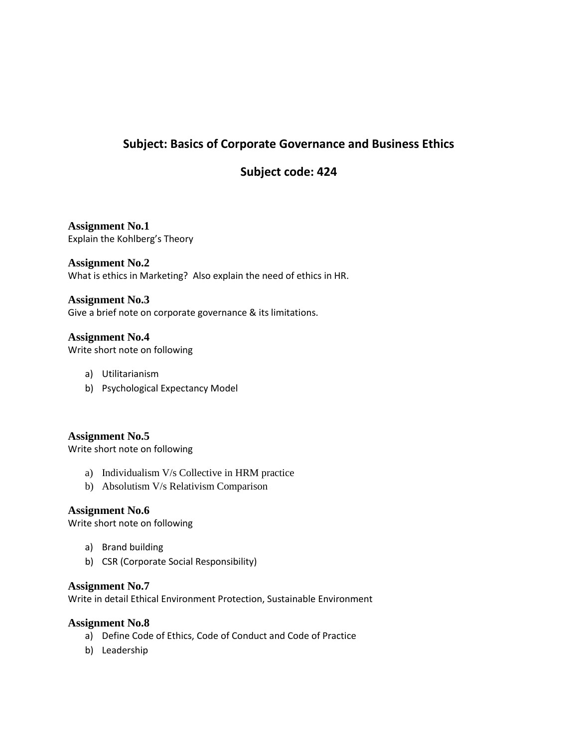## **Subject: Basics of Corporate Governance and Business Ethics**

## **Subject code: 424**

**Assignment No.1** Explain the Kohlberg's Theory

**Assignment No.2** What is ethics in Marketing? Also explain the need of ethics in HR.

#### **Assignment No.3**

Give a brief note on corporate governance & its limitations.

#### **Assignment No.4**

Write short note on following

- a) Utilitarianism
- b) Psychological Expectancy Model

**Assignment No.5**

Write short note on following

- a) Individualism V/s Collective in HRM practice
- b) Absolutism V/s Relativism Comparison

#### **Assignment No.6**

Write short note on following

- a) Brand building
- b) CSR (Corporate Social Responsibility)

#### **Assignment No.7**

Write in detail Ethical Environment Protection, Sustainable Environment

#### **Assignment No.8**

- a) Define Code of Ethics, Code of Conduct and Code of Practice
- b) Leadership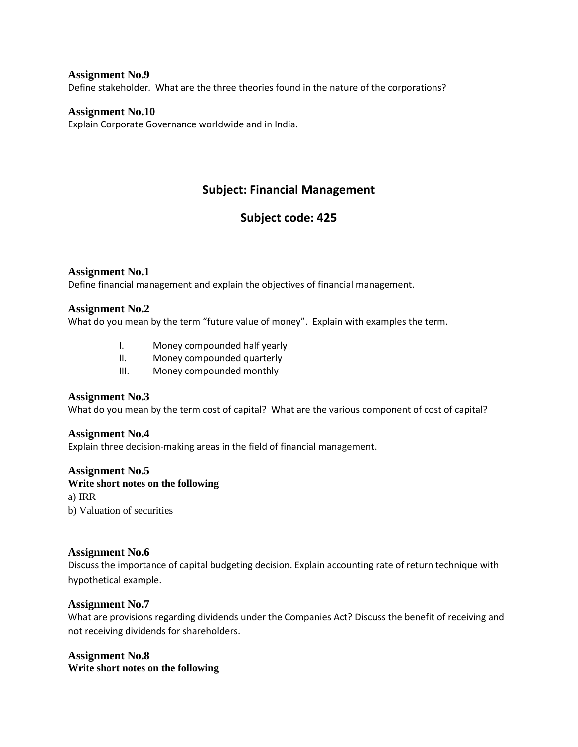**Assignment No.9** Define stakeholder. What are the three theories found in the nature of the corporations?

#### **Assignment No.10**

Explain Corporate Governance worldwide and in India.

### **Subject: Financial Management**

## **Subject code: 425**

#### **Assignment No.1**

Define financial management and explain the objectives of financial management.

#### **Assignment No.2**

What do you mean by the term "future value of money". Explain with examples the term.

- I. Money compounded half yearly
- II. Money compounded quarterly
- III. Money compounded monthly

#### **Assignment No.3**

What do you mean by the term cost of capital? What are the various component of cost of capital?

#### **Assignment No.4**

Explain three decision-making areas in the field of financial management.

#### **Assignment No.5**

#### **Write short notes on the following**

a) IRR

b) Valuation of securities

#### **Assignment No.6**

Discuss the importance of capital budgeting decision. Explain accounting rate of return technique with hypothetical example.

#### **Assignment No.7**

What are provisions regarding dividends under the Companies Act? Discuss the benefit of receiving and not receiving dividends for shareholders.

#### **Assignment No.8**

**Write short notes on the following**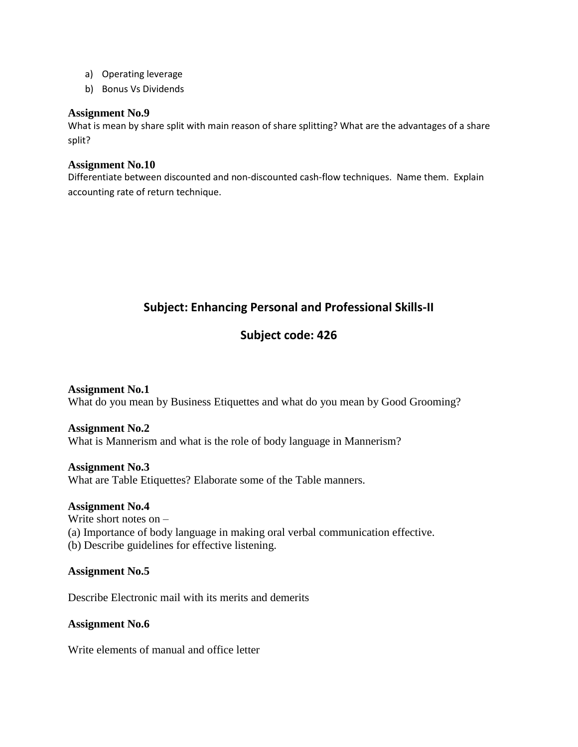- a) Operating leverage
- b) Bonus Vs Dividends

#### **Assignment No.9**

What is mean by share split with main reason of share splitting? What are the advantages of a share split?

#### **Assignment No.10**

Differentiate between discounted and non-discounted cash-flow techniques. Name them. Explain accounting rate of return technique.

## **Subject: Enhancing Personal and Professional Skills-II**

## **Subject code: 426**

**Assignment No.1** What do you mean by Business Etiquettes and what do you mean by Good Grooming?

#### **Assignment No.2**

What is Mannerism and what is the role of body language in Mannerism?

#### **Assignment No.3**

What are Table Etiquettes? Elaborate some of the Table manners.

#### **Assignment No.4**

Write short notes on – (a) Importance of body language in making oral verbal communication effective. (b) Describe guidelines for effective listening.

#### **Assignment No.5**

Describe Electronic mail with its merits and demerits

#### **Assignment No.6**

Write elements of manual and office letter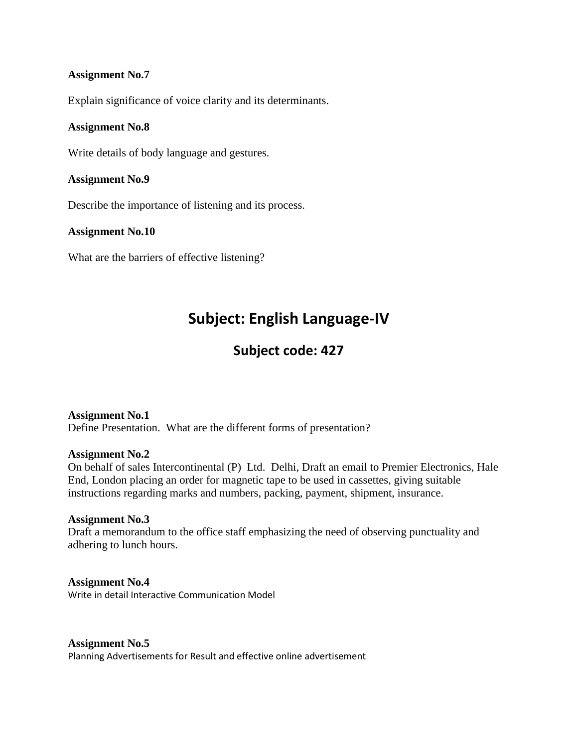#### **Assignment No.7**

Explain significance of voice clarity and its determinants.

#### **Assignment No.8**

Write details of body language and gestures.

#### **Assignment No.9**

Describe the importance of listening and its process.

#### **Assignment No.10**

What are the barriers of effective listening?

# **Subject: English Language-IV**

## **Subject code: 427**

#### **Assignment No.1**

Define Presentation. What are the different forms of presentation?

#### **Assignment No.2**

On behalf of sales Intercontinental (P) Ltd. Delhi, Draft an email to Premier Electronics, Hale End, London placing an order for magnetic tape to be used in cassettes, giving suitable instructions regarding marks and numbers, packing, payment, shipment, insurance.

#### **Assignment No.3**

Draft a memorandum to the office staff emphasizing the need of observing punctuality and adhering to lunch hours.

**Assignment No.4** Write in detail Interactive Communication Model

#### **Assignment No.5**

Planning Advertisements for Result and effective online advertisement